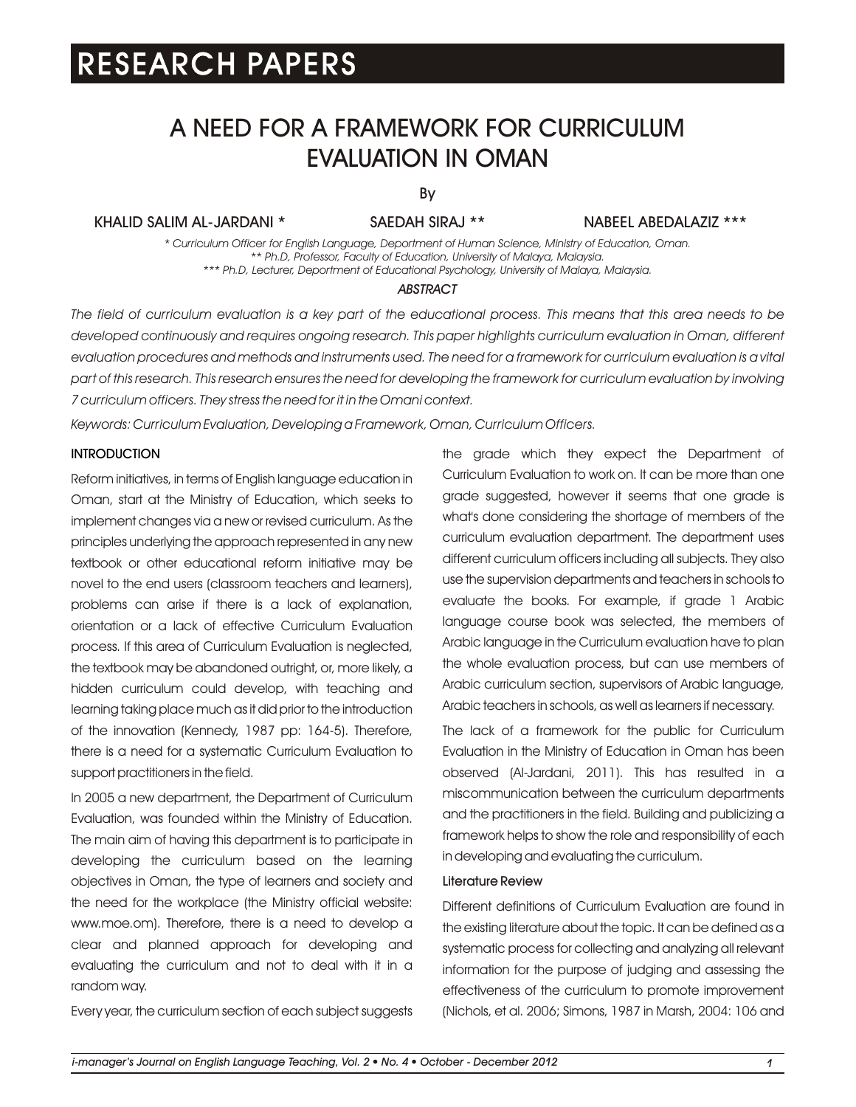## A NEED FOR A FRAMEWORK FOR CURRICULUM EVALUATION IN OMAN

By

KHALID SALIM AL-JARDANI \* NABEEL ABEDALAZIZ \*\*\*

### SAEDAH SIRAJ \*\*

*\* Curriculum Officer for English Language, Deportment of Human Science, Ministry of Education, Oman. \*\* Ph.D, Professor, Faculty of Education, University of Malaya, Malaysia. \*\*\* Ph.D, Lecturer, Deportment of Educational Psychology, University of Malaya, Malaysia.*

#### *ABSTRACT*

*The field of curriculum evaluation is a key part of the educational process. This means that this area needs to be developed continuously and requires ongoing research. This paper highlights curriculum evaluation in Oman, different evaluation procedures and methods and instruments used. The need for a framework for curriculum evaluation is a vital part of this research. This research ensures the need for developing the framework for curriculum evaluation by involving 7 curriculum officers. They stress the need for it in the Omani context.*

*Keywords: Curriculum Evaluation, Developing a Framework, Oman, Curriculum Officers.*

### **INTRODUCTION**

Reform initiatives, in terms of English language education in Oman, start at the Ministry of Education, which seeks to implement changes via a new or revised curriculum. As the principles underlying the approach represented in any new textbook or other educational reform initiative may be novel to the end users (classroom teachers and learners), problems can arise if there is a lack of explanation, orientation or a lack of effective Curriculum Evaluation process. If this area of Curriculum Evaluation is neglected, the textbook may be abandoned outright, or, more likely, a hidden curriculum could develop, with teaching and learning taking place much as it did prior to the introduction of the innovation (Kennedy, 1987 pp: 164-5). Therefore, there is a need for a systematic Curriculum Evaluation to support practitioners in the field.

In 2005 a new department, the Department of Curriculum Evaluation, was founded within the Ministry of Education. The main aim of having this department is to participate in developing the curriculum based on the learning objectives in Oman, the type of learners and society and the need for the workplace (the Ministry official website: www.moe.om). Therefore, there is a need to develop a clear and planned approach for developing and evaluating the curriculum and not to deal with it in a random way.

Every year, the curriculum section of each subject suggests

the grade which they expect the Department of Curriculum Evaluation to work on. It can be more than one grade suggested, however it seems that one grade is what's done considering the shortage of members of the curriculum evaluation department. The department uses different curriculum officers including all subjects. They also use the supervision departments and teachers in schools to evaluate the books. For example, if grade 1 Arabic language course book was selected, the members of Arabic language in the Curriculum evaluation have to plan the whole evaluation process, but can use members of Arabic curriculum section, supervisors of Arabic language, Arabic teachers in schools, as well as learners if necessary.

The lack of a framework for the public for Curriculum Evaluation in the Ministry of Education in Oman has been observed (Al-Jardani, 2011). This has resulted in a miscommunication between the curriculum departments and the practitioners in the field. Building and publicizing a framework helps to show the role and responsibility of each in developing and evaluating the curriculum.

#### Literature Review

Different definitions of Curriculum Evaluation are found in the existing literature about the topic. It can be defined as a systematic process for collecting and analyzing all relevant information for the purpose of judging and assessing the effectiveness of the curriculum to promote improvement (Nichols, et al. 2006; Simons, 1987 in Marsh, 2004: 106 and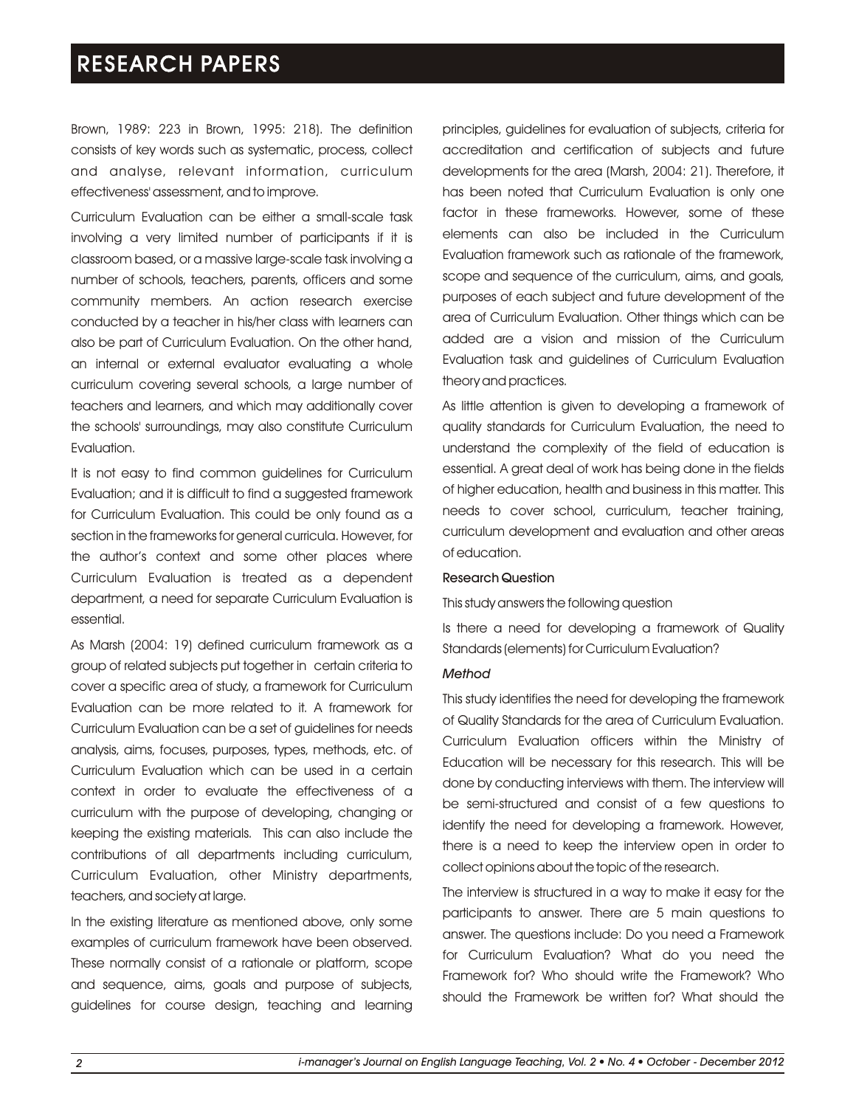Brown, 1989: 223 in Brown, 1995: 218). The definition consists of key words such as systematic, process, collect and analyse, relevant information, curriculum effectiveness' assessment, and to improve.

Curriculum Evaluation can be either a small-scale task involving a very limited number of participants if it is classroom based, or a massive large-scale task involving a number of schools, teachers, parents, officers and some community members. An action research exercise conducted by a teacher in his/her class with learners can also be part of Curriculum Evaluation. On the other hand, an internal or external evaluator evaluating a whole curriculum covering several schools, a large number of teachers and learners, and which may additionally cover the schools' surroundings, may also constitute Curriculum Evaluation.

It is not easy to find common guidelines for Curriculum Evaluation; and it is difficult to find a suggested framework for Curriculum Evaluation. This could be only found as a section in the frameworks for general curricula. However, for the author's context and some other places where Curriculum Evaluation is treated as a dependent department, a need for separate Curriculum Evaluation is essential.

As Marsh (2004: 19) defined curriculum framework as a group of related subjects put together in certain criteria to cover a specific area of study, a framework for Curriculum Evaluation can be more related to it. A framework for Curriculum Evaluation can be a set of guidelines for needs analysis, aims, focuses, purposes, types, methods, etc. of Curriculum Evaluation which can be used in a certain context in order to evaluate the effectiveness of a curriculum with the purpose of developing, changing or keeping the existing materials. This can also include the contributions of all departments including curriculum, Curriculum Evaluation, other Ministry departments, teachers, and society at large.

In the existing literature as mentioned above, only some examples of curriculum framework have been observed. These normally consist of a rationale or platform, scope and sequence, aims, goals and purpose of subjects, guidelines for course design, teaching and learning

principles, guidelines for evaluation of subjects, criteria for accreditation and certification of subjects and future developments for the area (Marsh, 2004: 21). Therefore, it has been noted that Curriculum Evaluation is only one factor in these frameworks. However, some of these elements can also be included in the Curriculum Evaluation framework such as rationale of the framework, scope and sequence of the curriculum, aims, and goals, purposes of each subject and future development of the area of Curriculum Evaluation. Other things which can be added are a vision and mission of the Curriculum Evaluation task and guidelines of Curriculum Evaluation theory and practices.

As little attention is given to developing a framework of quality standards for Curriculum Evaluation, the need to understand the complexity of the field of education is essential. A great deal of work has being done in the fields of higher education, health and business in this matter. This needs to cover school, curriculum, teacher training, curriculum development and evaluation and other areas of education.

### Research Question

This study answers the following question

Is there a need for developing a framework of Quality Standards (elements) for Curriculum Evaluation?

#### *Method*

This study identifies the need for developing the framework of Quality Standards for the area of Curriculum Evaluation. Curriculum Evaluation officers within the Ministry of Education will be necessary for this research. This will be done by conducting interviews with them. The interview will be semi-structured and consist of a few questions to identify the need for developing a framework. However, there is a need to keep the interview open in order to collect opinions about the topic of the research.

The interview is structured in a way to make it easy for the participants to answer. There are 5 main questions to answer. The questions include: Do you need a Framework for Curriculum Evaluation? What do you need the Framework for? Who should write the Framework? Who should the Framework be written for? What should the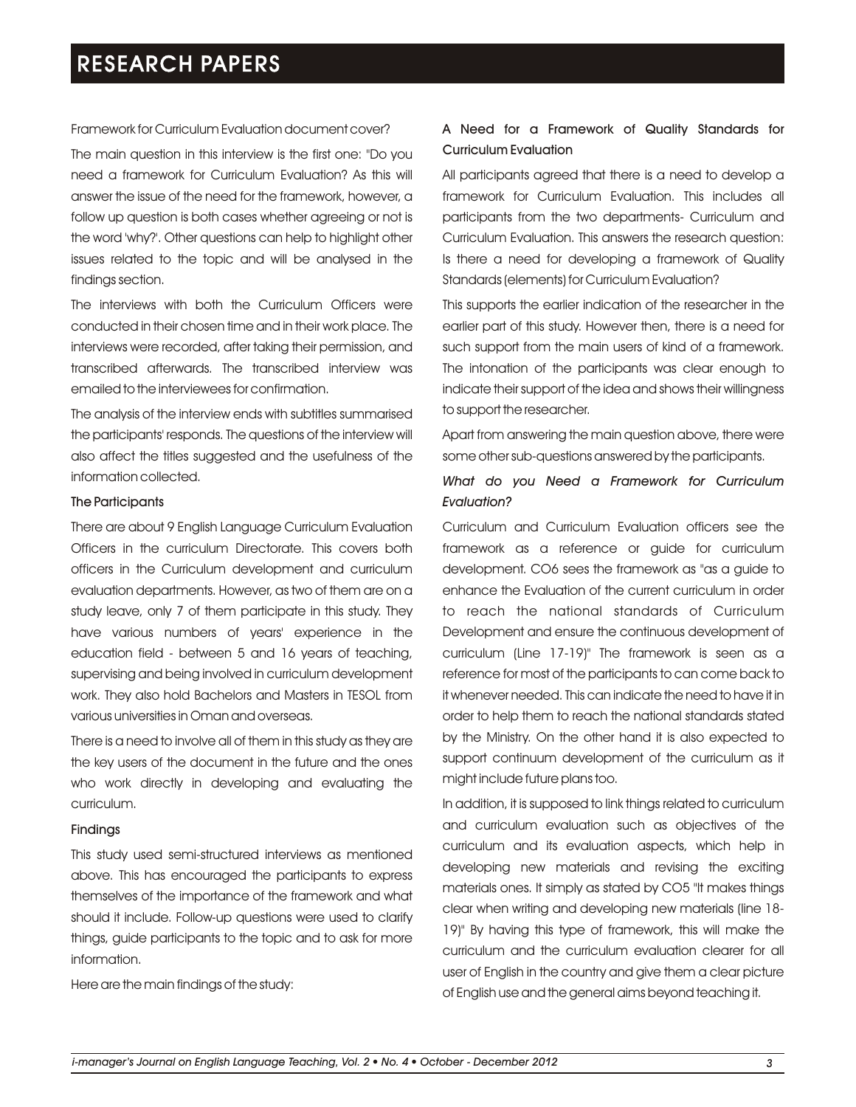Framework for Curriculum Evaluation document cover?

The main question in this interview is the first one: "Do you need a framework for Curriculum Evaluation? As this will answer the issue of the need for the framework, however, a follow up question is both cases whether agreeing or not is the word 'why?'. Other questions can help to highlight other issues related to the topic and will be analysed in the findings section.

The interviews with both the Curriculum Officers were conducted in their chosen time and in their work place. The interviews were recorded, after taking their permission, and transcribed afterwards. The transcribed interview was emailed to the interviewees for confirmation.

The analysis of the interview ends with subtitles summarised the participants' responds. The questions of the interview will also affect the titles suggested and the usefulness of the information collected.

### The Participants

There are about 9 English Language Curriculum Evaluation Officers in the curriculum Directorate. This covers both officers in the Curriculum development and curriculum evaluation departments. However, as two of them are on a study leave, only 7 of them participate in this study. They have various numbers of years' experience in the education field - between 5 and 16 years of teaching, supervising and being involved in curriculum development work. They also hold Bachelors and Masters in TESOL from various universities in Oman and overseas.

There is a need to involve all of them in this study as they are the key users of the document in the future and the ones who work directly in developing and evaluating the curriculum.

## Findings

This study used semi-structured interviews as mentioned above. This has encouraged the participants to express themselves of the importance of the framework and what should it include. Follow-up questions were used to clarify things, guide participants to the topic and to ask for more information.

Here are the main findings of the study:

## A Need for a Framework of Quality Standards for Curriculum Evaluation

All participants agreed that there is a need to develop a framework for Curriculum Evaluation. This includes all participants from the two departments- Curriculum and Curriculum Evaluation. This answers the research question: Is there a need for developing a framework of Quality Standards (elements) for Curriculum Evaluation?

This supports the earlier indication of the researcher in the earlier part of this study. However then, there is a need for such support from the main users of kind of a framework. The intonation of the participants was clear enough to indicate their support of the idea and shows their willingness to support the researcher.

Apart from answering the main question above, there were some other sub-questions answered by the participants.

## *What do you Need a Framework for Curriculum Evaluation?*

Curriculum and Curriculum Evaluation officers see the framework as a reference or guide for curriculum development. CO6 sees the framework as "as a guide to enhance the Evaluation of the current curriculum in order to reach the national standards of Curriculum Development and ensure the continuous development of curriculum (Line 17-19)" The framework is seen as a reference for most of the participants to can come back to it whenever needed. This can indicate the need to have it in order to help them to reach the national standards stated by the Ministry. On the other hand it is also expected to support continuum development of the curriculum as it might include future plans too.

In addition, it is supposed to link things related to curriculum and curriculum evaluation such as objectives of the curriculum and its evaluation aspects, which help in developing new materials and revising the exciting materials ones. It simply as stated by CO5 "It makes things clear when writing and developing new materials (line 18- 19)" By having this type of framework, this will make the curriculum and the curriculum evaluation clearer for all user of English in the country and give them a clear picture of English use and the general aims beyond teaching it.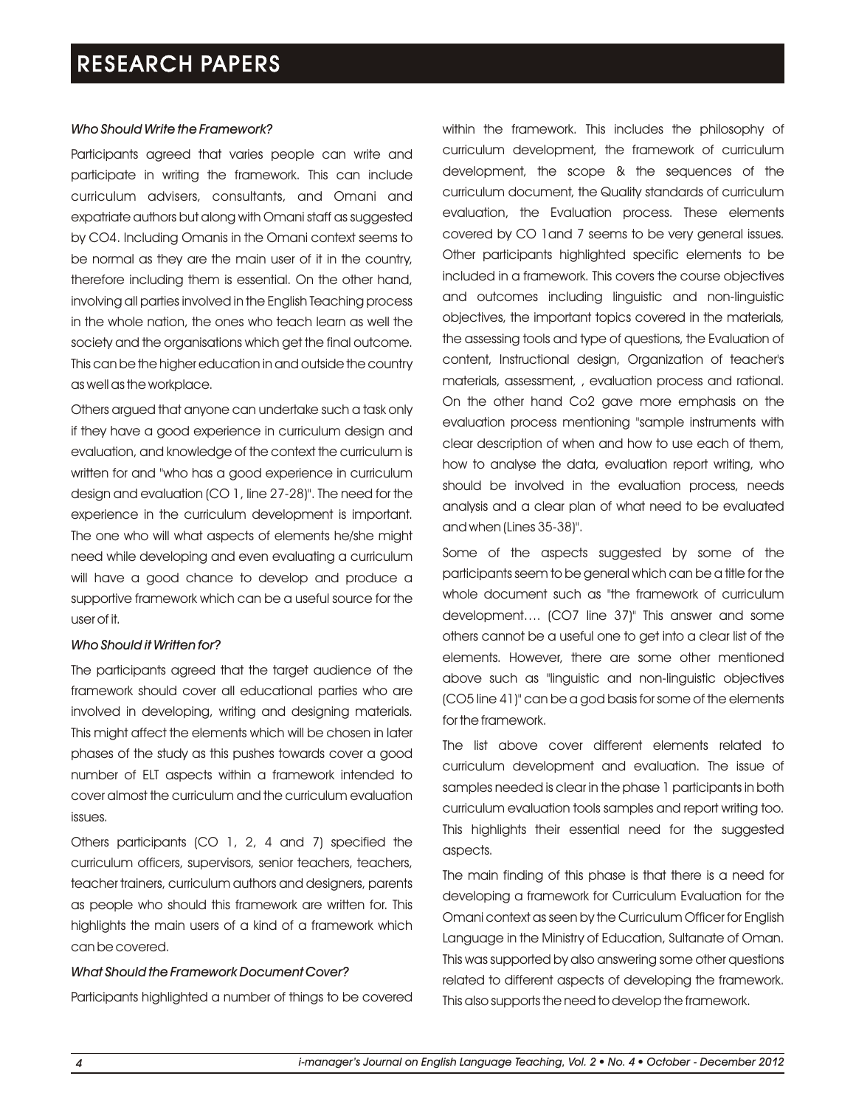## *Who Should Write the Framework?*

Participants agreed that varies people can write and participate in writing the framework. This can include curriculum advisers, consultants, and Omani and expatriate authors but along with Omani staff as suggested by CO4. Including Omanis in the Omani context seems to be normal as they are the main user of it in the country, therefore including them is essential. On the other hand, involving all parties involved in the English Teaching process in the whole nation, the ones who teach learn as well the society and the organisations which get the final outcome. This can be the higher education in and outside the country as well as the workplace.

Others argued that anyone can undertake such a task only if they have a good experience in curriculum design and evaluation, and knowledge of the context the curriculum is written for and "who has a good experience in curriculum design and evaluation (CO 1, line 27-28)". The need for the experience in the curriculum development is important. The one who will what aspects of elements he/she might need while developing and even evaluating a curriculum will have a good chance to develop and produce a supportive framework which can be a useful source for the user of it.

## *Who Should it Written for?*

The participants agreed that the target audience of the framework should cover all educational parties who are involved in developing, writing and designing materials. This might affect the elements which will be chosen in later phases of the study as this pushes towards cover a good number of ELT aspects within a framework intended to cover almost the curriculum and the curriculum evaluation issues.

Others participants (CO 1, 2, 4 and 7) specified the curriculum officers, supervisors, senior teachers, teachers, teacher trainers, curriculum authors and designers, parents as people who should this framework are written for. This highlights the main users of a kind of a framework which can be covered.

## *What Should the Framework Document Cover?*

Participants highlighted a number of things to be covered

within the framework. This includes the philosophy of curriculum development, the framework of curriculum development, the scope & the sequences of the curriculum document, the Quality standards of curriculum evaluation, the Evaluation process. These elements covered by CO 1and 7 seems to be very general issues. Other participants highlighted specific elements to be included in a framework. This covers the course objectives and outcomes including linguistic and non-linguistic objectives, the important topics covered in the materials, the assessing tools and type of questions, the Evaluation of content, Instructional design, Organization of teacher's materials, assessment, , evaluation process and rational. On the other hand Co2 gave more emphasis on the evaluation process mentioning "sample instruments with clear description of when and how to use each of them, how to analyse the data, evaluation report writing, who should be involved in the evaluation process, needs analysis and a clear plan of what need to be evaluated and when (Lines 35-38)".

Some of the aspects suggested by some of the participants seem to be general which can be a title for the whole document such as "the framework of curriculum development…. (CO7 line 37)" This answer and some others cannot be a useful one to get into a clear list of the elements. However, there are some other mentioned above such as "linguistic and non-linguistic objectives (CO5 line 41)" can be a god basis for some of the elements for the framework.

The list above cover different elements related to curriculum development and evaluation. The issue of samples needed is clear in the phase 1 participants in both curriculum evaluation tools samples and report writing too. This highlights their essential need for the suggested aspects.

The main finding of this phase is that there is a need for developing a framework for Curriculum Evaluation for the Omani context as seen by the Curriculum Officer for English Language in the Ministry of Education, Sultanate of Oman. This was supported by also answering some other questions related to different aspects of developing the framework. This also supports the need to develop the framework.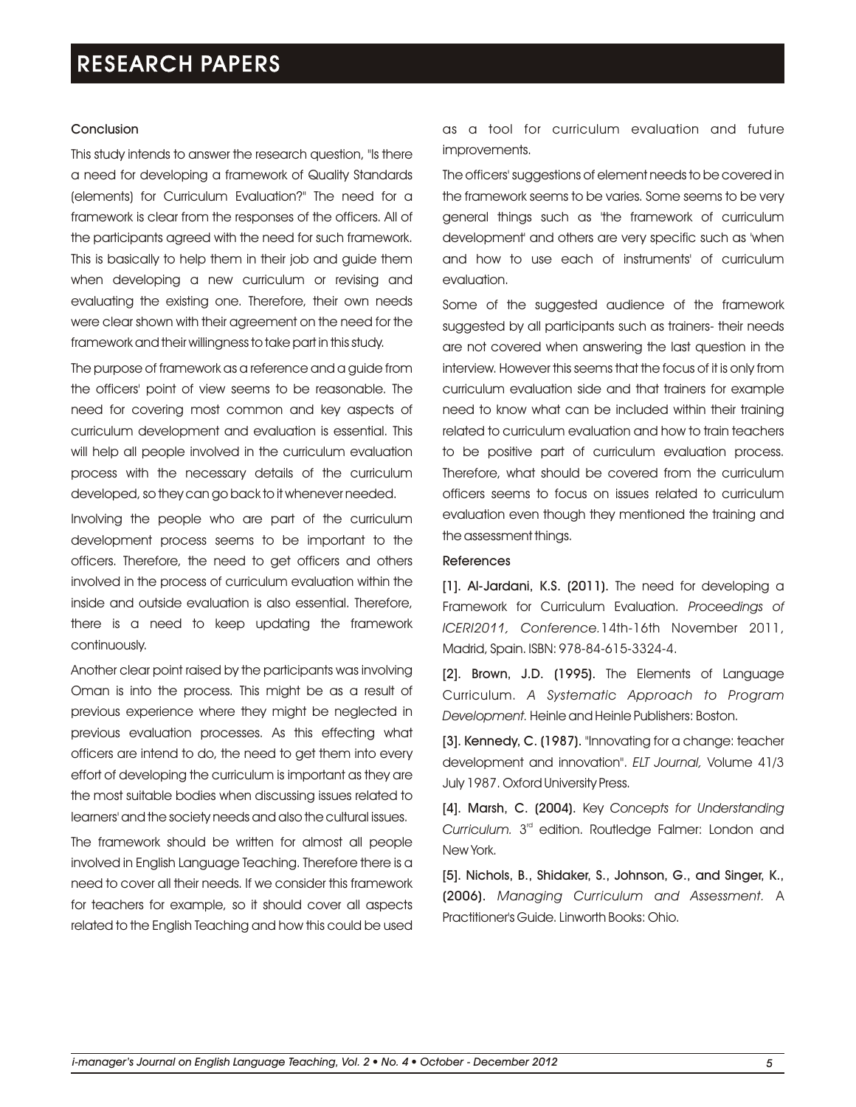## Conclusion

This study intends to answer the research question, "Is there a need for developing a framework of Quality Standards (elements) for Curriculum Evaluation?" The need for a framework is clear from the responses of the officers. All of the participants agreed with the need for such framework. This is basically to help them in their job and guide them when developing a new curriculum or revising and evaluating the existing one. Therefore, their own needs were clear shown with their agreement on the need for the framework and their willingness to take part in this study.

The purpose of framework as a reference and a guide from the officers' point of view seems to be reasonable. The need for covering most common and key aspects of curriculum development and evaluation is essential. This will help all people involved in the curriculum evaluation process with the necessary details of the curriculum developed, so they can go back to it whenever needed.

Involving the people who are part of the curriculum development process seems to be important to the officers. Therefore, the need to get officers and others involved in the process of curriculum evaluation within the inside and outside evaluation is also essential. Therefore, there is a need to keep updating the framework continuously.

Another clear point raised by the participants was involving Oman is into the process. This might be as a result of previous experience where they might be neglected in previous evaluation processes. As this effecting what officers are intend to do, the need to get them into every effort of developing the curriculum is important as they are the most suitable bodies when discussing issues related to learners' and the society needs and also the cultural issues.

The framework should be written for almost all people involved in English Language Teaching. Therefore there is a need to cover all their needs. If we consider this framework for teachers for example, so it should cover all aspects related to the English Teaching and how this could be used as a tool for curriculum evaluation and future improvements.

The officers' suggestions of element needs to be covered in the framework seems to be varies. Some seems to be very general things such as 'the framework of curriculum development' and others are very specific such as 'when and how to use each of instruments' of curriculum evaluation.

Some of the suggested audience of the framework suggested by all participants such as trainers- their needs are not covered when answering the last question in the interview. However this seems that the focus of it is only from curriculum evaluation side and that trainers for example need to know what can be included within their training related to curriculum evaluation and how to train teachers to be positive part of curriculum evaluation process. Therefore, what should be covered from the curriculum officers seems to focus on issues related to curriculum evaluation even though they mentioned the training and the assessment things.

### **References**

[1]. Al-Jardani, K.S. (2011). The need for developing a Framework for Curriculum Evaluation. *Proceedings of ICERI2011, Conference.*14th-16th November 2011, Madrid, Spain. ISBN: 978-84-615-3324-4.

[2]. Brown, J.D. (1995). The Elements of Language Curriculum. *A Systematic Approach to Program Development.* Heinle and Heinle Publishers: Boston.

[3]. Kennedy, C. (1987). "Innovating for a change: teacher development and innovation". *ELT Journal,* Volume 41/3 July 1987. Oxford University Press.

[4]. Marsh, C. (2004). Key *Concepts for Understanding*  Curriculum. 3<sup>rd</sup> edition. Routledge Falmer: London and New York.

[5]. Nichols, B., Shidaker, S., Johnson, G., and Singer, K., (2006). *Managing Curriculum and Assessment.* A Practitioner's Guide. Linworth Books: Ohio.